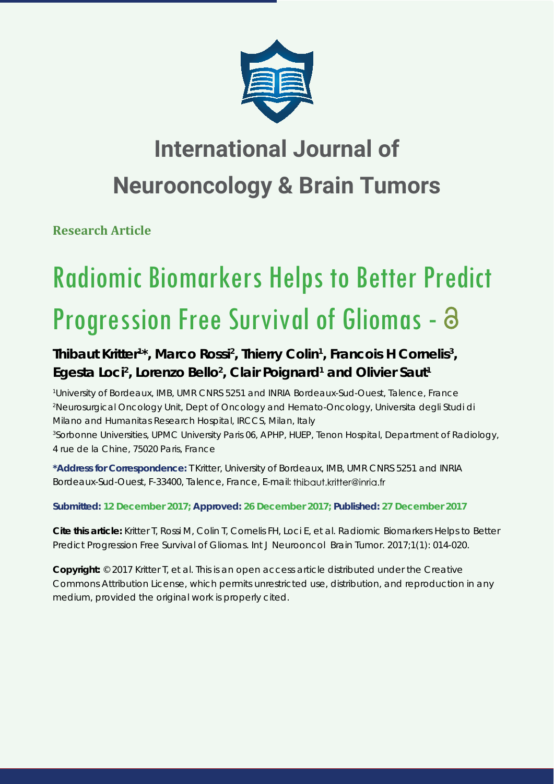

## **International Journal of Neurooncology & Brain Tumors**

**Research Article**

# Radiomic Biomarkers Helps to Better Predict Progression Free Survival of Gliomas -

### Thibaut Kritter<sup>1\*</sup>, Marco Rossi<sup>2</sup>, Thierry Colin<sup>1</sup>, Francois H Cornelis<sup>3</sup>, Egesta Loci<sup>2</sup>, Lorenzo Bello<sup>2</sup>, Clair Poignard<sup>1</sup> and Olivier Saut<sup>1</sup>

*1 University of Bordeaux, IMB, UMR CNRS 5251 and INRIA Bordeaux-Sud-Ouest, Talence, France 2 Neurosurgical Oncology Unit, Dept of Oncology and Hemato-Oncology, Universita degli Studi di Milano and Humanitas Research Hospital, IRCCS, Milan, Italy*

*3 Sorbonne Universities, UPMC University Paris 06, APHP, HUEP, Tenon Hospital, Department of Radiology, 4 rue de la Chine, 75020 Paris, France*

**\*Address for Correspondence:** T Kritter, University of Bordeaux, IMB, UMR CNRS 5251 and INRIA Bordeaux-Sud-Ouest, F-33400, Talence, France, E-mail: thibaut.kritter@inria.fr

**Submitted: 12 December 2017; Approved: 26 December 2017; Published: 27 December 2017**

**Cite this article:** Kritter T, Rossi M, Colin T, Cornelis FH, Loci E, et al. Radiomic Biomarkers Helps to Better Predict Progression Free Survival of Gliomas. Int J Neurooncol Brain Tumor. 2017;1(1): 014-020.

**Copyright:** © 2017 Kritter T, et al. This is an open access article distributed under the Creative Commons Attribution License, which permits unrestricted use, distribution, and reproduction in any medium, provided the original work is properly cited.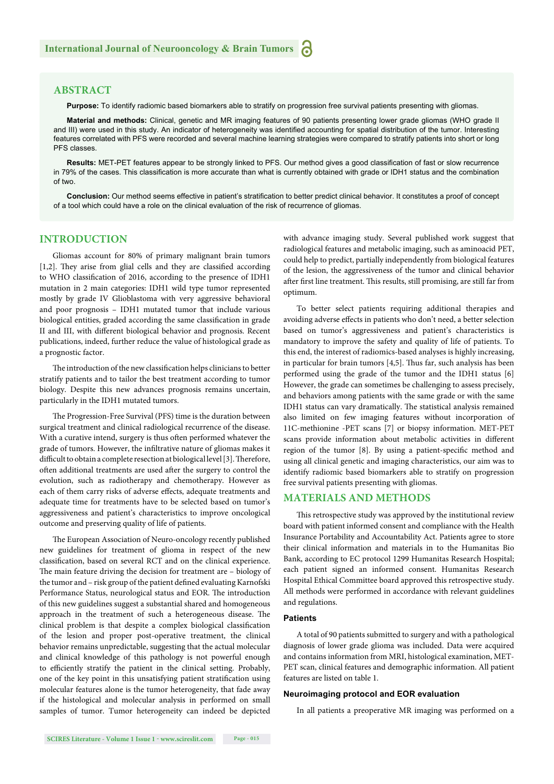#### **ABSTRACT**

**Purpose:** To identify radiomic based biomarkers able to stratify on progression free survival patients presenting with gliomas.

**Material and methods:** Clinical, genetic and MR imaging features of 90 patients presenting lower grade gliomas (WHO grade II and III) were used in this study. An indicator of heterogeneity was identified accounting for spatial distribution of the tumor. Interesting features correlated with PFS were recorded and several machine learning strategies were compared to stratify patients into short or long PFS classes.

Results: MET-PET features appear to be strongly linked to PFS. Our method gives a good classification of fast or slow recurrence in 79% of the cases. This classification is more accurate than what is currently obtained with grade or IDH1 status and the combination of two.

Conclusion: Our method seems effective in patient's stratification to better predict clinical behavior. It constitutes a proof of concept of a tool which could have a role on the clinical evaluation of the risk of recurrence of gliomas.

#### **INTRODUCTION**

Gliomas account for 80% of primary malignant brain tumors [1,2]. They arise from glial cells and they are classified according to WHO classification of 2016, according to the presence of IDH1 mutation in 2 main categories: IDH1 wild type tumor represented mostly by grade IV Glioblastoma with very aggressive behavioral and poor prognosis – IDH1 mutated tumor that include various biological entities, graded according the same classification in grade II and III, with different biological behavior and prognosis. Recent publications, indeed, further reduce the value of histological grade as a prognostic factor.

The introduction of the new classification helps clinicians to better stratify patients and to tailor the best treatment according to tumor biology. Despite this new advances prognosis remains uncertain, particularly in the IDH1 mutated tumors.

The Progression-Free Survival (PFS) time is the duration between surgical treatment and clinical radiological recurrence of the disease. With a curative intend, surgery is thus often performed whatever the grade of tumors. However, the infiltrative nature of gliomas makes it difficult to obtain a complete resection at biological level [3]. Therefore, often additional treatments are used after the surgery to control the evolution, such as radiotherapy and chemotherapy. However as each of them carry risks of adverse effects, adequate treatments and adequate time for treatments have to be selected based on tumor's aggressiveness and patient's characteristics to improve oncological outcome and preserving quality of life of patients.

The European Association of Neuro-oncology recently published new guidelines for treatment of glioma in respect of the new classification, based on several RCT and on the clinical experience. The main feature driving the decision for treatment are - biology of the tumor and – risk group of the patient defined evaluating Karnofski Performance Status, neurological status and EOR. The introduction of this new guidelines suggest a substantial shared and homogeneous approach in the treatment of such a heterogeneous disease. The clinical problem is that despite a complex biological classification of the lesion and proper post-operative treatment, the clinical behavior remains unpredictable, suggesting that the actual molecular and clinical knowledge of this pathology is not powerful enough to efficiently stratify the patient in the clinical setting. Probably, one of the key point in this unsatisfying patient stratification using molecular features alone is the tumor heterogeneity, that fade away if the histological and molecular analysis in performed on small samples of tumor. Tumor heterogeneity can indeed be depicted with advance imaging study. Several published work suggest that radiological features and metabolic imaging, such as aminoacid PET, could help to predict, partially independently from biological features of the lesion, the aggressiveness of the tumor and clinical behavior after first line treatment. This results, still promising, are still far from optimum.

To better select patients requiring additional therapies and avoiding adverse effects in patients who don't need, a better selection based on tumor's aggressiveness and patient's characteristics is mandatory to improve the safety and quality of life of patients. To this end, the interest of radiomics-based analyses is highly increasing, in particular for brain tumors  $[4,5]$ . Thus far, such analysis has been performed using the grade of the tumor and the IDH1 status [6] However, the grade can sometimes be challenging to assess precisely, and behaviors among patients with the same grade or with the same IDH1 status can vary dramatically. The statistical analysis remained also limited on few imaging features without incorporation of 11C-methionine -PET scans [7] or biopsy information. MET-PET scans provide information about metabolic activities in different region of the tumor [8]. By using a patient-specific method and using all clinical genetic and imaging characteristics, our aim was to identify radiomic based biomarkers able to stratify on progression free survival patients presenting with gliomas.

#### **MATERIALS AND METHODS**

This retrospective study was approved by the institutional review board with patient informed consent and compliance with the Health Insurance Portability and Accountability Act. Patients agree to store their clinical information and materials in to the Humanitas Bio Bank, according to EC protocol 1299 Humanitas Research Hospital; each patient signed an informed consent. Humanitas Research Hospital Ethical Committee board approved this retrospective study. All methods were performed in accordance with relevant guidelines and regulations.

#### **Patients**

A total of 90 patients submitted to surgery and with a pathological diagnosis of lower grade glioma was included. Data were acquired and contains information from MRI, histological examination, MET-PET scan, clinical features and demographic information. All patient features are listed on table 1.

#### **Neuroimaging protocol and EOR evaluation**

In all patients a preoperative MR imaging was performed on a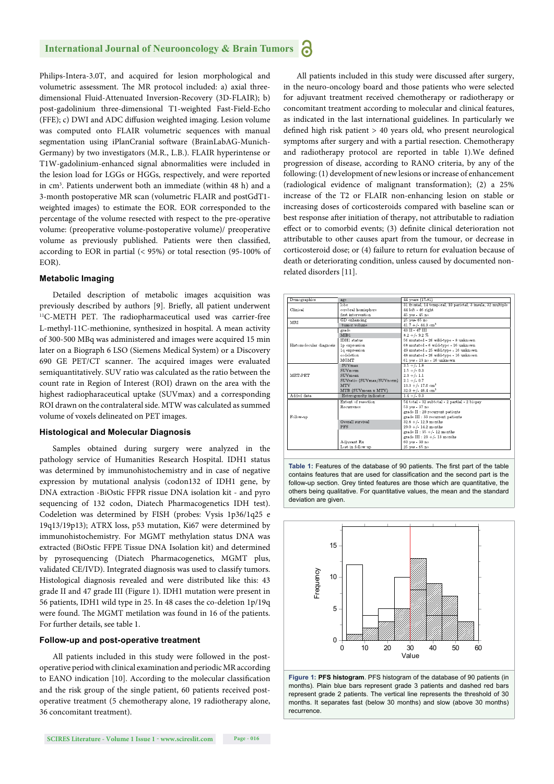Philips-Intera-3.0T, and acquired for lesion morphological and volumetric assessment. The MR protocol included: a) axial threedimensional Fluid-Attenuated Inversion-Recovery (3D-FLAIR); b) post-gadolinium three-dimensional T1-weighted Fast-Field-Echo (FFE);  $c$ ) DWI and ADC diffusion weighted imaging. Lesion volume was computed onto FLAIR volumetric sequences with manual segmentation using iPlanCranial software (BrainLabAG-Munich-Germany) by two investigators (M.R., L.B.). FLAIR hyperintense or T1W-gadolinium-enhanced signal abnormalities were included in the lesion load for LGGs or HGGs, respectively, and were reported in cm3 . Patients underwent both an immediate (within 48 h) and a 3-month postoperative MR scan (volumetric FLAIR and postGdT1 weighted images) to estimate the EOR. EOR corresponded to the percentage of the volume resected with respect to the pre-operative volume: (preoperative volume-postoperative volume)/ preoperative volume as previously published. Patients were then classified, according to EOR in partial (< 95%) or total resection (95-100% of EOR).

#### **Metabolic Imaging**

Detailed description of metabolic images acquisition was previously described by authors [9]. Briefly, all patient underwent <sup>11</sup>C-METH PET. The radiopharmaceutical used was carrier-free L-methyl-11C-methionine, synthesized in hospital. A mean activity of 300-500 MBq was administered and images were acquired 15 min later on a Biograph 6 LSO (Siemens Medical System) or a Discovery 690 GE PET/CT scanner. The acquired images were evaluated semiquantitatively. SUV ratio was calculated as the ratio between the count rate in Region of Interest (ROI) drawn on the area with the highest radiopharaceutical uptake (SUVmax) and a corresponding ROI drawn on the contralateral side. MTW was calculated as summed volume of voxels delineated on PET images.

#### **Histological and Molecular Diagnosis**

Samples obtained during surgery were analyzed in the pathology service of Humanities Research Hospital. IDH1 status was determined by immunohistochemistry and in case of negative expression by mutational analysis (codon132 of IDH1 gene, by DNA extraction -BiOstic FFPR rissue DNA isolation kit - and pyro sequencing of 132 codon, Diatech Pharmacogenetics IDH test). Codeletion was determined by FISH (probes: Vysis 1p36/1q25 e 19q13/19p13); ATRX loss, p53 mutation, Ki67 were determined by immunohistochemistry. For MGMT methylation status DNA was extracted (BiOstic FFPE Tissue DNA Isolation kit) and determined by pyrosequencing (Diatech Pharmacogenetics, MGMT plus, validated CE/IVD). Integrated diagnosis was used to classify tumors. Histological diagnosis revealed and were distributed like this: 43 grade II and 47 grade III (Figure 1). IDH1 mutation were present in 56 patients, IDH1 wild type in 25. In 48 cases the co-deletion 1p/19q were found. The MGMT metilation was found in 16 of the patients. For further details, see table 1.

#### **Follow-up and post-operative treatment**

All patients included in this study were followed in the postoperative period with clinical examination and periodic MR according to EANO indication [10]. According to the molecular classification and the risk group of the single patient, 60 patients received postoperative treatment (5 chemotherapy alone, 19 radiotherapy alone, 36 concomitant treatment).

All patients included in this study were discussed after surgery, in the neuro-oncology board and those patients who were selected for adjuvant treatment received chemotherapy or radiotherapy or concomitant treatment according to molecular and clinical features, as indicated in the last international guidelines. In particularly we defined high risk patient  $> 40$  years old, who present neurological symptoms after surgery and with a partial resection. Chemotherapy and radiotherapy protocol are reported in table 1). We defined progression of disease, according to RANO criteria, by any of the following: (1) development of new lesions or increase of enhancement (radiological evidence of malignant transformation); (2) a 25% increase of the T2 or FLAIR non-enhancing lesion on stable or increasing doses of corticosteroids compared with baseline scan or best response after initiation of therapy, not attributable to radiation effect or to comorbid events; (3) definite clinical deterioration not attributable to other causes apart from the tumour, or decrease in corticosteroid dose; or (4) failure to return for evaluation because of death or deteriorating condition, unless caused by documented nonrelated disorders [11].

| Demographics             | age                       | 44 years (17-81)                                            |  |  |
|--------------------------|---------------------------|-------------------------------------------------------------|--|--|
|                          | lobe                      | 31 frontal, 14 temporal, 10 parietal, 3 insula, 32 multiple |  |  |
| Clinical                 | cerebral hemisphere       | $44$ left - $46$ right                                      |  |  |
|                          | first intervention        | 45 yes - 45 no                                              |  |  |
| <b>MRI</b>               | GD enhancing              | 25 yes- 65 no                                               |  |  |
|                          | tumor volume              | $41.7 + (-44.3)$ cm <sup>3</sup>                            |  |  |
|                          | grade                     | 43 H - 47 H                                                 |  |  |
|                          | MIB1                      | $8.2 + (-9.2 %$                                             |  |  |
|                          | <b>IDH1</b> status        | 56 mutated - 26 wild-type - 8 unknown                       |  |  |
| Histomolecular diagnosis | 1p expression             | 68 mutated - 6 wild-type - 16 unknown                       |  |  |
|                          | 1q expression             | 49 mutated - 25 wild-type - 16 unknown                      |  |  |
|                          | codeletion                | 48 mutated - 26 wild-type - 16 unknown                      |  |  |
|                          | <b>MGMT</b>               | 61 yes - 13 no - 16 unknown                                 |  |  |
|                          | <b>SUVmax</b>             | $3.5 + (-1.8)$                                              |  |  |
|                          | SUVnorm                   | $1.5 + (-0.3)$                                              |  |  |
| MET-PET                  | SUVmean                   | $2.3 + (-1.1)$                                              |  |  |
|                          | SUVratio (SUVmax/SUVnorm) | $2.1 + (-0.7)$                                              |  |  |
|                          | MTV                       | $13.3 +/- 17.0$ cm <sup>3</sup>                             |  |  |
|                          | MTB (SUVmean x MTV)       | $32.0 +/- 46.4$ cm <sup>3</sup>                             |  |  |
| Added data               | Heterogeneity indicator   | $1.4 + (-0.3)$                                              |  |  |
|                          | Extent of resection       | 54 total - 32 subtotal - 2 partial - 2 biopsy               |  |  |
|                          | Recurrence                | 53 yes - 37 no                                              |  |  |
|                          |                           | grade II : 20 recurrent patients                            |  |  |
| Follow-up                |                           | grade III : 33 recurrent patients                           |  |  |
|                          | Overall survival          | $32.8 +/- 12.9$ months                                      |  |  |
|                          | <b>PFS</b>                | $29.0 +/- 14.2$ months                                      |  |  |
|                          |                           | grade $\Pi$ : 35 +/- 12 months                              |  |  |
|                          |                           | grade III : 23 +/- 13 months                                |  |  |
|                          | Adiuvant Rx               | 60 ves - 30 no                                              |  |  |
|                          | Lost in follow up         | 25 yes - 65 no                                              |  |  |
|                          |                           |                                                             |  |  |

Table 1: Features of the database of 90 patients. The first part of the table contains features that are used for classification and the second part is the follow-up section. Grey tinted features are those which are quantitative, the others being qualitative. For quantitative values, the mean and the standard deviation are given.



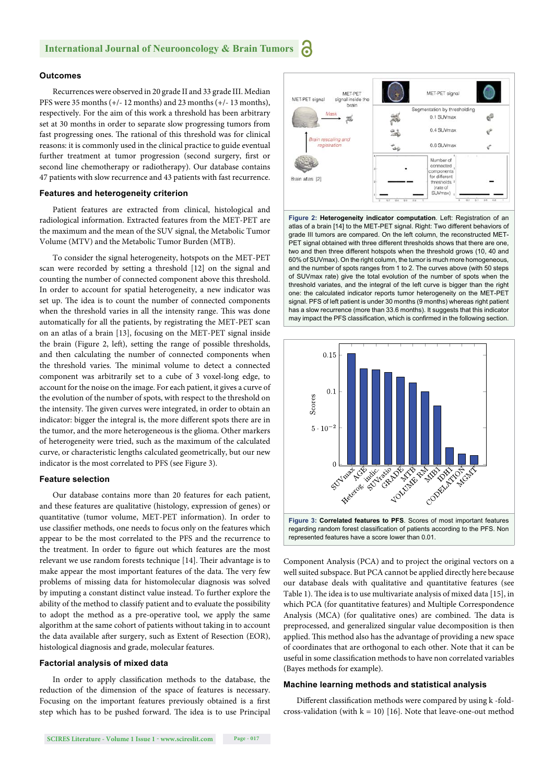#### **Outcomes**

Recurrences were observed in 20 grade II and 33 grade III. Median PFS were 35 months (+/- 12 months) and 23 months (+/- 13 months), respectively. For the aim of this work a threshold has been arbitrary set at 30 months in order to separate slow progressing tumors from fast progressing ones. The rational of this threshold was for clinical reasons: it is commonly used in the clinical practice to guide eventual further treatment at tumor progression (second surgery, first or second line chemotherapy or radiotherapy). Our database contains 47 patients with slow recurrence and 43 patients with fast recurrence.

#### **Features and heterogeneity criterion**

Patient features are extracted from clinical, histological and radiological information. Extracted features from the MET-PET are the maximum and the mean of the SUV signal, the Metabolic Tumor Volume (MTV) and the Metabolic Tumor Burden (MTB).

To consider the signal heterogeneity, hotspots on the MET-PET scan were recorded by setting a threshold [12] on the signal and counting the number of connected component above this threshold. In order to account for spatial heterogeneity, a new indicator was set up. The idea is to count the number of connected components when the threshold varies in all the intensity range. This was done automatically for all the patients, by registrating the MET-PET scan on an atlas of a brain [13], focusing on the MET-PET signal inside the brain (Figure 2, left), setting the range of possible thresholds, and then calculating the number of connected components when the threshold varies. The minimal volume to detect a connected component was arbitrarily set to a cube of 3 voxel-long edge, to account for the noise on the image. For each patient, it gives a curve of the evolution of the number of spots, with respect to the threshold on the intensity. The given curves were integrated, in order to obtain an indicator: bigger the integral is, the more different spots there are in the tumor, and the more heterogeneous is the glioma. Other markers of heterogeneity were tried, such as the maximum of the calculated curve, or characteristic lengths calculated geometrically, but our new indicator is the most correlated to PFS (see Figure 3).

#### **Feature selection**

Our database contains more than 20 features for each patient, and these features are qualitative (histology, expression of genes) or quantitative (tumor volume, MET-PET information). In order to use classifier methods, one needs to focus only on the features which appear to be the most correlated to the PFS and the recurrence to the treatment. In order to figure out which features are the most relevant we use random forests technique [14]. Their advantage is to make appear the most important features of the data. The very few problems of missing data for histomolecular diagnosis was solved by imputing a constant distinct value instead. To further explore the ability of the method to classify patient and to evaluate the possibility to adopt the method as a pre-operative tool, we apply the same algorithm at the same cohort of patients without taking in to account the data available after surgery, such as Extent of Resection (EOR), histological diagnosis and grade, molecular features.

#### **Factorial analysis of mixed data**

In order to apply classification methods to the database, the reduction of the dimension of the space of features is necessary. Focusing on the important features previously obtained is a first step which has to be pushed forward. The idea is to use Principal



**Figure 2: Heterogeneity indicator computation**. Left: Registration of an atlas of a brain [14] to the MET-PET signal. Right: Two different behaviors of grade III tumors are compared. On the left column, the reconstructed MET-PET signal obtained with three different thresholds shows that there are one, two and then three different hotspots when the threshold grows (10, 40 and 60% of SUVmax). On the right column, the tumor is much more homogeneous, and the number of spots ranges from 1 to 2. The curves above (with 50 steps of SUVmax rate) give the total evolution of the number of spots when the threshold variates, and the integral of the left curve is bigger than the right one: the calculated indicator reports tumor heterogeneity on the MET-PET signal. PFS of left patient is under 30 months (9 months) whereas right patient has a slow recurrence (more than 33.6 months). It suggests that this indicator may impact the PFS classification, which is confirmed in the following section.



Component Analysis (PCA) and to project the original vectors on a well suited subspace. But PCA cannot be applied directly here because our database deals with qualitative and quantitative features (see Table 1). The idea is to use multivariate analysis of mixed data [15], in which PCA (for quantitative features) and Multiple Correspondence Analysis (MCA) (for qualitative ones) are combined. The data is preprocessed, and generalized singular value decomposition is then applied. This method also has the advantage of providing a new space of coordinates that are orthogonal to each other. Note that it can be useful in some classification methods to have non correlated variables (Bayes methods for example).

#### **Machine learning methods and statistical analysis**

Different classification methods were compared by using k-foldcross-validation (with  $k = 10$ ) [16]. Note that leave-one-out method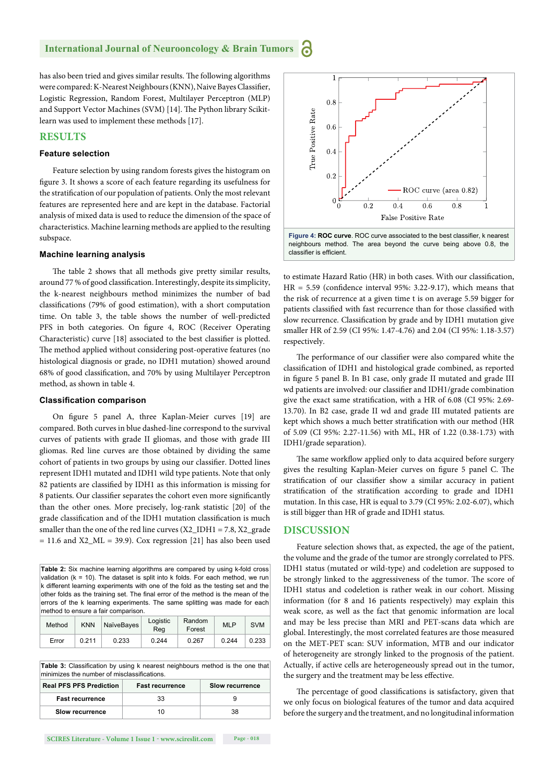has also been tried and gives similar results. The following algorithms were compared: K-Nearest Neighbours (KNN), Naive Bayes Classifier, Logistic Regression, Random Forest, Multilayer Perceptron (MLP) and Support Vector Machines (SVM) [14]. The Python library Scikitlearn was used to implement these methods [17].

#### **RESULTS**

#### **Feature selection**

Feature selection by using random forests gives the histogram on figure 3. It shows a score of each feature regarding its usefulness for the stratification of our population of patients. Only the most relevant features are represented here and are kept in the database. Factorial analysis of mixed data is used to reduce the dimension of the space of characteristics. Machine learning methods are applied to the resulting subspace.

#### **Machine learning analysis**

The table 2 shows that all methods give pretty similar results, around 77 % of good classification. Interestingly, despite its simplicity, the k-nearest neighbours method minimizes the number of bad classifications (79% of good estimation), with a short computation time. On table 3, the table shows the number of well-predicted PFS in both categories. On figure 4, ROC (Receiver Operating Characteristic) curve [18] associated to the best classifier is plotted. The method applied without considering post-operative features (no histological diagnosis or grade, no IDH1 mutation) showed around 68% of good classification, and 70% by using Multilayer Perceptron method, as shown in table 4.

#### **Classifi cation comparison**

On figure 5 panel A, three Kaplan-Meier curves [19] are compared. Both curves in blue dashed-line correspond to the survival curves of patients with grade II gliomas, and those with grade III gliomas. Red line curves are those obtained by dividing the same cohort of patients in two groups by using our classifier. Dotted lines represent IDH1 mutated and IDH1 wild type patients. Note that only 82 patients are classified by IDH1 as this information is missing for 8 patients. Our classifier separates the cohort even more significantly than the other ones. More precisely, log-rank statistic [20] of the grade classification and of the IDH1 mutation classification is much smaller than the one of the red line curves  $(X2$  IDH1 = 7.8,  $X2$  grade  $= 11.6$  and X2\_ML = 39.9). Cox regression [21] has also been used

**Table 2:** Six machine learning algorithms are compared by using k-fold cross validation (k = 10). The dataset is split into k folds. For each method, we run k different learning experiments with one of the fold as the testing set and the other folds as the training set. The final error of the method is the mean of the errors of the k learning experiments. The same splitting was made for each method to ensure a fair comparison.

| Method | <b>KNN</b> | NaïveBayes | Logistic<br>Rea | Random<br>Forest | <b>MLP</b> | <b>SVM</b> |
|--------|------------|------------|-----------------|------------------|------------|------------|
| Error  | 0.211      | 0.233      | 0.244           | 0.267            | 0.244      | 0.233      |

Table 3: Classification by using k nearest neighbours method is the one that minimizes the number of misclassifications

| <b>Real PFS PFS Prediction</b> | <b>Fast recurrence</b> | <b>Slow recurrence</b> |
|--------------------------------|------------------------|------------------------|
| <b>Fast recurrence</b>         | 33                     |                        |
| Slow recurrence                | 10                     | 38                     |



to estimate Hazard Ratio (HR) in both cases. With our classification,  $HR = 5.59$  (confidence interval 95%: 3.22-9.17), which means that the risk of recurrence at a given time t is on average 5.59 bigger for patients classified with fast recurrence than for those classified with slow recurrence. Classification by grade and by IDH1 mutation give smaller HR of 2.59 (CI 95%: 1.47-4.76) and 2.04 (CI 95%: 1.18-3.57) respectively.

The performance of our classifier were also compared white the classification of IDH1 and histological grade combined, as reported in figure 5 panel B. In B1 case, only grade II mutated and grade III wd patients are involved: our classifier and IDH1/grade combination give the exact same stratification, with a HR of 6.08 (CI 95%: 2.69-13.70). In B2 case, grade II wd and grade III mutated patients are kept which shows a much better stratification with our method (HR of 5.09 (CI 95%: 2.27-11.56) with ML, HR of 1.22 (0.38-1.73) with IDH1/grade separation).

The same workflow applied only to data acquired before surgery gives the resulting Kaplan-Meier curves on figure 5 panel C. The stratification of our classifier show a similar accuracy in patient stratification of the stratification according to grade and IDH1 mutation. In this case, HR is equal to 3.79 (CI 95%: 2.02-6.07), which is still bigger than HR of grade and IDH1 status.

#### **DISCUSSION**

Feature selection shows that, as expected, the age of the patient, the volume and the grade of the tumor are strongly correlated to PFS. IDH1 status (mutated or wild-type) and codeletion are supposed to be strongly linked to the aggressiveness of the tumor. The score of IDH1 status and codeletion is rather weak in our cohort. Missing information (for 8 and 16 patients respectively) may explain this weak score, as well as the fact that genomic information are local and may be less precise than MRI and PET-scans data which are global. Interestingly, the most correlated features are those measured on the MET-PET scan: SUV information, MTB and our indicator of heterogeneity are strongly linked to the prognosis of the patient. Actually, if active cells are heterogeneously spread out in the tumor, the surgery and the treatment may be less effective.

The percentage of good classifications is satisfactory, given that we only focus on biological features of the tumor and data acquired before the surgery and the treatment, and no longitudinal information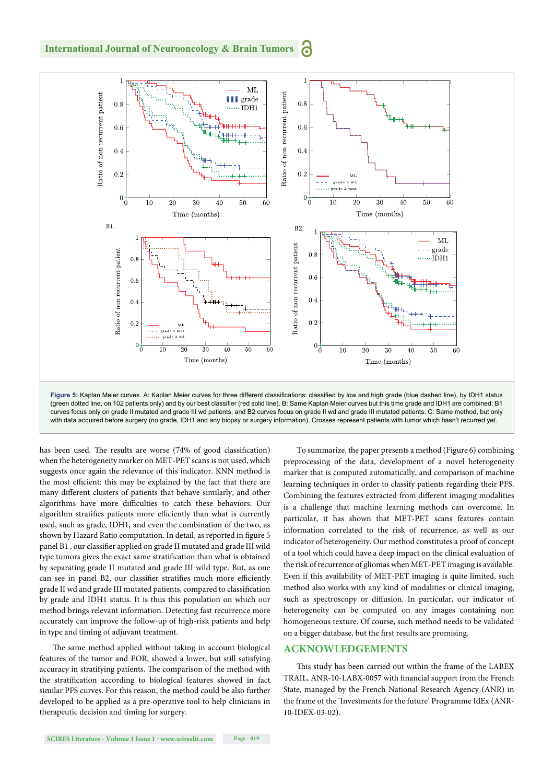

has been used. The results are worse (74% of good classification) when the heterogeneity marker on MET-PET scans is not used, which suggests once again the relevance of this indicator. KNN method is the most efficient: this may be explained by the fact that there are many different clusters of patients that behave similarly, and other algorithms have more difficulties to catch these behaviors. Our algorithm stratifies patients more efficiently than what is currently used, such as grade, IDH1, and even the combination of the two, as shown by Hazard Ratio computation. In detail, as reported in figure 5 panel B1, our classifier applied on grade II mutated and grade III wild type tumors gives the exact same stratification than what is obtained by separating grade II mutated and grade III wild type. But, as one can see in panel B2, our classifier stratifies much more efficiently grade II wd and grade III mutated patients, compared to classification by grade and IDH1 status. It is thus this population on which our method brings relevant information. Detecting fast recurrence more accurately can improve the follow-up of high-risk patients and help in type and timing of adjuvant treatment.

The same method applied without taking in account biological features of the tumor and EOR, showed a lower, but still satisfying accuracy in stratifying patients. The comparison of the method with the stratification according to biological features showed in fact similar PFS curves. For this reason, the method could be also further developed to be applied as a pre-operative tool to help clinicians in therapeutic decision and timing for surgery.

To summarize, the paper presents a method (Figure 6) combining preprocessing of the data, development of a novel heterogeneity marker that is computed automatically, and comparison of machine learning techniques in order to classify patients regarding their PFS. Combining the features extracted from different imaging modalities is a challenge that machine learning methods can overcome. In particular, it has shown that MET-PET scans features contain information correlated to the risk of recurrence, as well as our indicator of heterogeneity. Our method constitutes a proof of concept of a tool which could have a deep impact on the clinical evaluation of the risk of recurrence of gliomas when MET-PET imaging is available. Even if this availability of MET-PET imaging is quite limited, such method also works with any kind of modalities or clinical imaging, such as spectroscopy or diffusion. In particular, our indicator of heterogeneity can be computed on any images containing non homogeneous texture. Of course, such method needs to be validated on a bigger database, but the first results are promising.

#### **ACKNOWLEDGEMENTS**

This study has been carried out within the frame of the LABEX TRAIL, ANR-10-LABX-0057 with financial support from the French State, managed by the French National Research Agency (ANR) in the frame of the 'Investments for the future' Programme IdEx (ANR-10-IDEX-03-02).